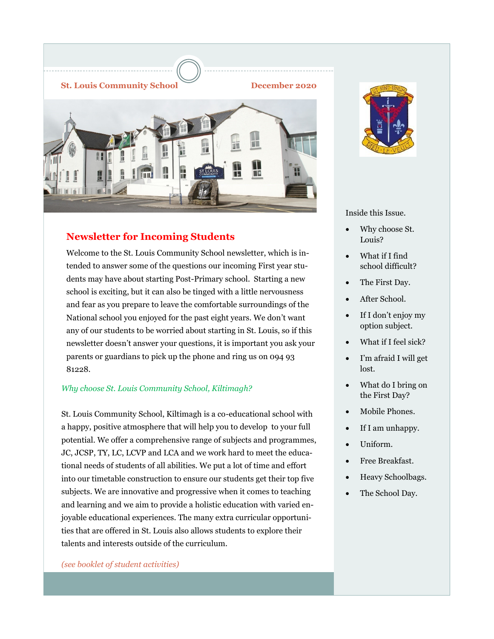

### **Newsletter for Incoming Students**

Welcome to the St. Louis Community School newsletter, which is intended to answer some of the questions our incoming First year students may have about starting Post-Primary school. Starting a new school is exciting, but it can also be tinged with a little nervousness and fear as you prepare to leave the comfortable surroundings of the National school you enjoyed for the past eight years. We don't want any of our students to be worried about starting in St. Louis, so if this newsletter doesn't answer your questions, it is important you ask your parents or guardians to pick up the phone and ring us on 094 93 81228.

#### *Why choose St. Louis Community School, Kiltimagh?*

St. Louis Community School, Kiltimagh is a co-educational school with a happy, positive atmosphere that will help you to develop to your full potential. We offer a comprehensive range of subjects and programmes, JC, JCSP, TY, LC, LCVP and LCA and we work hard to meet the educational needs of students of all abilities. We put a lot of time and effort into our timetable construction to ensure our students get their top five subjects. We are innovative and progressive when it comes to teaching and learning and we aim to provide a holistic education with varied enjoyable educational experiences. The many extra curricular opportunities that are offered in St. Louis also allows students to explore their talents and interests outside of the curriculum.

*(see booklet of student activities)*



Inside this Issue.

- Why choose St. Louis?
- What if I find school difficult?
- The First Day.
- After School.
- If I don't enjoy my option subject.
- What if I feel sick?
- I'm afraid I will get lost.
- What do I bring on the First Day?
- Mobile Phones.
- If I am unhappy.
- Uniform.
- Free Breakfast.
- Heavy Schoolbags.
- The School Day.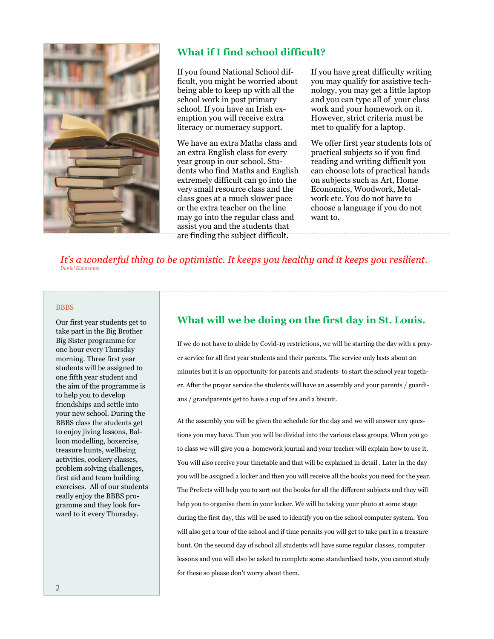

### **What if I find school difficult?**

If you found National School difficult, you might be worried about being able to keep up with all the school work in post primary school. If you have an Irish exemption you will receive extra literacy or numeracy support.

We have an extra Maths class and an extra English class for every year group in our school. Students who find Maths and English extremely difficult can go into the very small resource class and the class goes at a much slower pace or the extra teacher on the line may go into the regular class and assist you and the students that are finding the subject difficult.

If you have great difficulty writing you may qualify for assistive technology, you may get a little laptop and you can type all of your class work and your homework on it. However, strict criteria must be met to qualify for a laptop.

We offer first year students lots of practical subjects so if you find reading and writing difficult you can choose lots of practical hands on subjects such as Art, Home Economics, Woodwork, Metalwork etc. You do not have to choose a language if you do not want to.

*It's a wonderful thing to be optimistic. It keeps you healthy and it keeps you resilient. Daniel Kahneman*

#### **BBBS**

Our first year students get to take part in the Big Brother Big Sister programme for one hour every Thursday morning. Three first year students will be assigned to one fifth year student and the aim of the programme is to help you to develop friendships and settle into your new school. During the BBBS class the students get to enjoy jiving lessons, Balloon modelling, boxercise, treasure hunts, wellbeing activities, cookery classes, problem solving challenges, first aid and team building exercises. All of our students really enjoy the BBBS programme and they look forward to it every Thursday.

### **What will we be doing on the first day in St. Louis.**

If we do not have to abide by Covid-19 restrictions, we will be starting the day with a prayer service for all first year students and their parents. The service only lasts about 20 minutes but it is an opportunity for parents and students to start the school year together. After the prayer service the students will have an assembly and your parents / guardians / grandparents get to have a cup of tea and a biscuit.

At the assembly you will be given the schedule for the day and we will answer any questions you may have. Then you will be divided into the various class groups. When you go to class we will give you a homework journal and your teacher will explain how to use it. You will also receive your timetable and that will be explained in detail . Later in the day you will be assigned a locker and then you will receive all the books you need for the year. The Prefects will help you to sort out the books for all the different subjects and they will help you to organise them in your locker. We will be taking your photo at some stage during the first day, this will be used to identify you on the school computer system. You will also get a tour of the school and if time permits you will get to take part in a treasure hunt. On the second day of school all students will have some regular classes, computer lessons and you will also be asked to complete some standardised tests, you cannot study for these so please don't worry about them.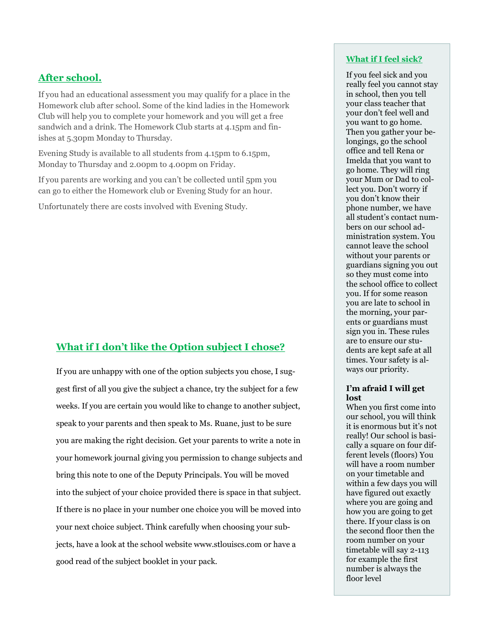### **After school.**

If you had an educational assessment you may qualify for a place in the Homework club after school. Some of the kind ladies in the Homework Club will help you to complete your homework and you will get a free sandwich and a drink. The Homework Club starts at 4.15pm and finishes at 5.30pm Monday to Thursday.

Evening Study is available to all students from 4.15pm to 6.15pm, Monday to Thursday and 2.00pm to 4.00pm on Friday.

If you parents are working and you can't be collected until 5pm you can go to either the Homework club or Evening Study for an hour.

Unfortunately there are costs involved with Evening Study.

## **What if I don't like the Option subject I chose?**

If you are unhappy with one of the option subjects you chose, I suggest first of all you give the subject a chance, try the subject for a few weeks. If you are certain you would like to change to another subject, speak to your parents and then speak to Ms. Ruane, just to be sure you are making the right decision. Get your parents to write a note in your homework journal giving you permission to change subjects and bring this note to one of the Deputy Principals. You will be moved into the subject of your choice provided there is space in that subject. If there is no place in your number one choice you will be moved into your next choice subject. Think carefully when choosing your subjects, have a look at the school website www.stlouiscs.com or have a good read of the subject booklet in your pack.

#### **What if I feel sick?**

If you feel sick and you really feel you cannot stay in school, then you tell your class teacher that your don't feel well and you want to go home. Then you gather your belongings, go the school office and tell Rena or Imelda that you want to go home. They will ring your Mum or Dad to collect you. Don't worry if you don't know their phone number, we have all student's contact numbers on our school administration system. You cannot leave the school without your parents or guardians signing you out so they must come into the school office to collect you. If for some reason you are late to school in the morning, your parents or guardians must sign you in. These rules are to ensure our students are kept safe at all times. Your safety is always our priority.

#### **I'm afraid I will get lost**

When you first come into our school, you will think it is enormous but it's not really! Our school is basically a square on four different levels (floors) You will have a room number on your timetable and within a few days you will have figured out exactly where you are going and how you are going to get there. If your class is on the second floor then the room number on your timetable will say 2-113 for example the first number is always the floor level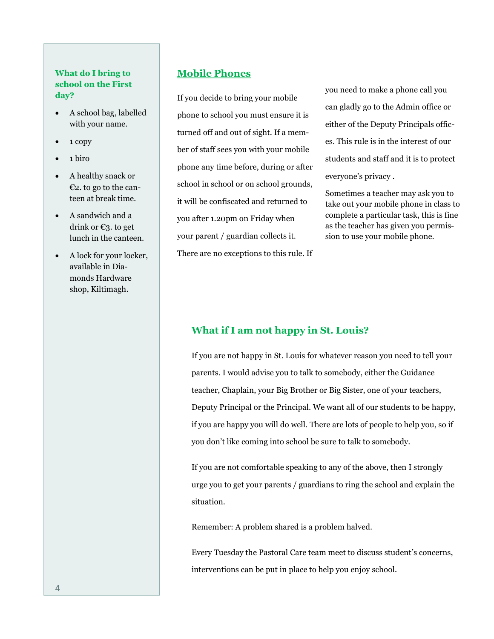### **What do I bring to school on the First day?**

- A school bag, labelled with your name.
- $\bullet$  1 copy
- $\bullet$  1 biro
- A healthy snack or €2. to go to the canteen at break time.
- A sandwich and a drink or €3. to get lunch in the canteen.
- A lock for your locker, available in Diamonds Hardware shop, Kiltimagh.

### **Mobile Phones**

If you decide to bring your mobile phone to school you must ensure it is turned off and out of sight. If a member of staff sees you with your mobile phone any time before, during or after school in school or on school grounds, it will be confiscated and returned to you after 1.20pm on Friday when your parent / guardian collects it. There are no exceptions to this rule. If you need to make a phone call you can gladly go to the Admin office or either of the Deputy Principals offices. This rule is in the interest of our students and staff and it is to protect everyone's privacy .

Sometimes a teacher may ask you to take out your mobile phone in class to complete a particular task, this is fine as the teacher has given you permission to use your mobile phone.

#### **What if I am not happy in St. Louis?**

If you are not happy in St. Louis for whatever reason you need to tell your parents. I would advise you to talk to somebody, either the Guidance teacher, Chaplain, your Big Brother or Big Sister, one of your teachers, Deputy Principal or the Principal. We want all of our students to be happy, if you are happy you will do well. There are lots of people to help you, so if you don't like coming into school be sure to talk to somebody.

If you are not comfortable speaking to any of the above, then I strongly urge you to get your parents / guardians to ring the school and explain the situation.

Remember: A problem shared is a problem halved.

Every Tuesday the Pastoral Care team meet to discuss student's concerns, interventions can be put in place to help you enjoy school.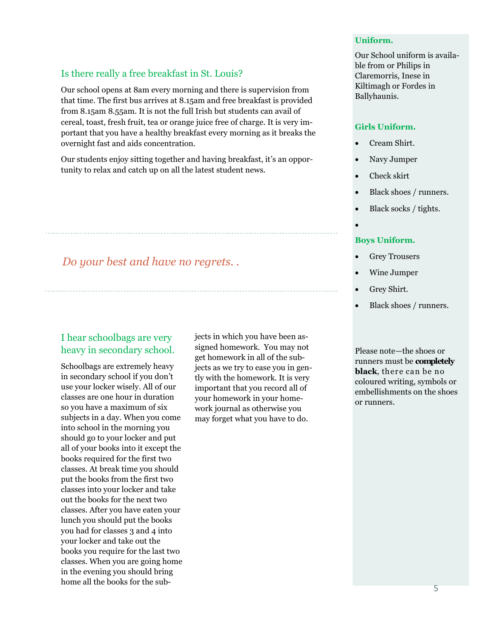### Is there really a free breakfast in St. Louis?

Our school opens at 8am every morning and there is supervision from that time. The first bus arrives at 8.15am and free breakfast is provided from 8.15am 8.55am. It is not the full Irish but students can avail of cereal, toast, fresh fruit, tea or orange juice free of charge. It is very important that you have a healthy breakfast every morning as it breaks the overnight fast and aids concentration.

Our students enjoy sitting together and having breakfast, it's an opportunity to relax and catch up on all the latest student news.

# *Do your best and have no regrets. .*

## I hear schoolbags are very heavy in secondary school.

Schoolbags are extremely heavy in secondary school if you don't use your locker wisely. All of our classes are one hour in duration so you have a maximum of six subjects in a day. When you come into school in the morning you should go to your locker and put all of your books into it except the books required for the first two classes. At break time you should put the books from the first two classes into your locker and take out the books for the next two classes. After you have eaten your lunch you should put the books you had for classes 3 and 4 into your locker and take out the books you require for the last two classes. When you are going home in the evening you should bring home all the books for the subjects in which you have been assigned homework. You may not get homework in all of the subjects as we try to ease you in gently with the homework. It is very important that you record all of your homework in your homework journal as otherwise you may forget what you have to do.

#### **Uniform.**

Our School uniform is available from or Philips in Claremorris, Inese in Kiltimagh or Fordes in Ballyhaunis.

#### **Girls Uniform.**

- Cream Shirt.
- Navy Jumper
- Check skirt
- Black shoes / runners.
- Black socks / tights.
- $\bullet$

#### **Boys Uniform.**

- Grey Trousers
- Wine Jumper
- Grey Shirt.
- Black shoes / runners.

Please note—the shoes or runners must be **completely black**, there can be no coloured writing, symbols or embellishments on the shoes or runners.